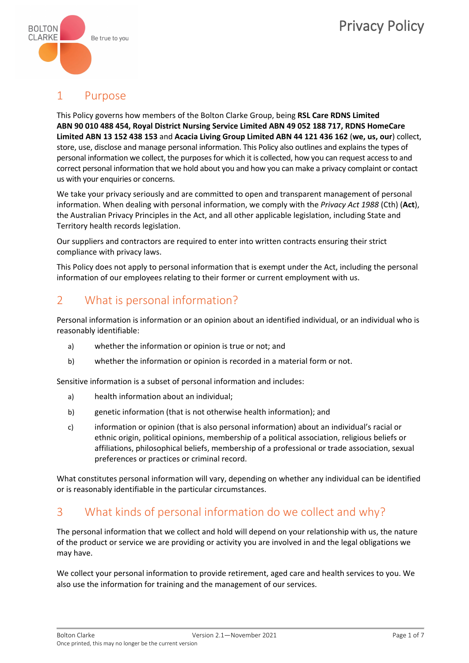

## 1. Purpose

This Policy governs how members of the Bolton Clarke Group, being **RSL Care RDNS Limited ABN 90 010 488 454, Royal District Nursing Service Limited ABN 49 052 188 717, RDNS HomeCare Limited ABN 13 152 438 153** and **Acacia Living Group Limited ABN 44 121 436 162** (**we, us, our**) collect, store, use, disclose and manage personal information. This Policy also outlines and explains the types of personal information we collect, the purposes for which it is collected, how you can request access to and correct personal information that we hold about you and how you can make a privacy complaint or contact us with your enquiries or concerns.

We take your privacy seriously and are committed to open and transparent management of personal information. When dealing with personal information, we comply with the *Privacy Act 1988* (Cth) (**Act**), the Australian Privacy Principles in the Act, and all other applicable legislation, including State and Territory health records legislation.

Our suppliers and contractors are required to enter into written contracts ensuring their strict compliance with privacy laws.

This Policy does not apply to personal information that is exempt under the Act, including the personal information of our employees relating to their former or current employment with us.

### 2. What is personal information?

Personal information is information or an opinion about an identified individual, or an individual who is reasonably identifiable:

- a) whether the information or opinion is true or not; and
- b) whether the information or opinion is recorded in a material form or not.

Sensitive information is a subset of personal information and includes:

- a) health information about an individual;
- b) genetic information (that is not otherwise health information); and
- c) information or opinion (that is also personal information) about an individual's racial or ethnic origin, political opinions, membership of a political association, religious beliefs or affiliations, philosophical beliefs, membership of a professional or trade association, sexual preferences or practices or criminal record.

What constitutes personal information will vary, depending on whether any individual can be identified or is reasonably identifiable in the particular circumstances.

3.What kinds of personal information do we collect and why?

The personal information that we collect and hold will depend on your relationship with us, the nature of the product or service we are providing or activity you are involved in and the legal obligations we may have.

We collect your personal information to provide retirement, aged care and health services to you. We also use the information for training and the management of our services.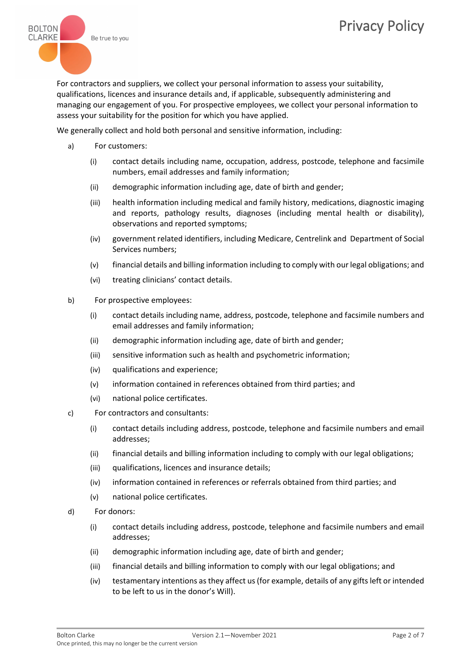

For contractors and suppliers, we collect your personal information to assess your suitability, qualifications, licences and insurance details and, if applicable, subsequently administering and managing our engagement of you. For prospective employees, we collect your personal information to assess your suitability for the position for which you have applied.

We generally collect and hold both personal and sensitive information, including:

- a) For customers:
	- (i) contact details including name, occupation, address, postcode, telephone and facsimile numbers, email addresses and family information;
	- (ii) demographic information including age, date of birth and gender;
	- (iii) health information including medical and family history, medications, diagnostic imaging and reports, pathology results, diagnoses (including mental health or disability), observations and reported symptoms;
	- (iv) government related identifiers, including Medicare, Centrelink and Department of Social Services numbers;
	- (v) financial details and billing information including to comply with our legal obligations; and
	- (vi) treating clinicians' contact details.
- b) For prospective employees:
	- (i) contact details including name, address, postcode, telephone and facsimile numbers and email addresses and family information;
	- (ii) demographic information including age, date of birth and gender;
	- (iii) sensitive information such as health and psychometric information;
	- (iv) qualifications and experience;
	- (v) information contained in references obtained from third parties; and
	- (vi) national police certificates.
- c) For contractors and consultants:
	- (i) contact details including address, postcode, telephone and facsimile numbers and email addresses;
	- (ii) financial details and billing information including to comply with our legal obligations;
	- (iii) qualifications, licences and insurance details;
	- (iv) information contained in references or referrals obtained from third parties; and
	- (v) national police certificates.
- d) For donors:
	- (i) contact details including address, postcode, telephone and facsimile numbers and email addresses;
	- (ii) demographic information including age, date of birth and gender;
	- (iii) financial details and billing information to comply with our legal obligations; and
	- (iv) testamentary intentions as they affect us (for example, details of any gifts left or intended to be left to us in the donor's Will).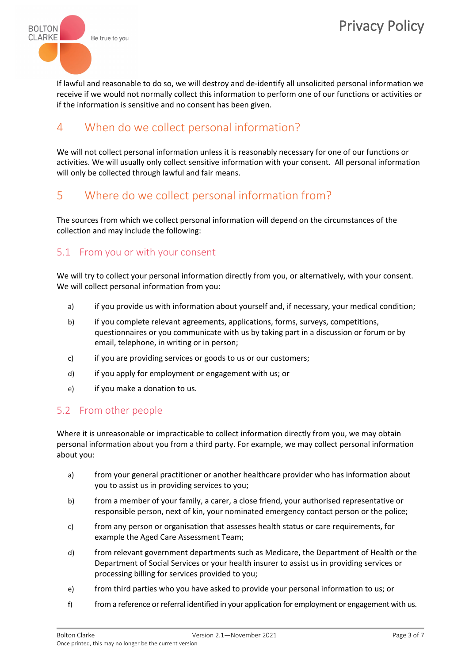

If lawful and reasonable to do so, we will destroy and de-identify all unsolicited personal information we receive if we would not normally collect this information to perform one of our functions or activities or if the information is sensitive and no consent has been given.

4. When do we collect personal information?

We will not collect personal information unless it is reasonably necessary for one of our functions or activities. We will usually only collect sensitive information with your consent. All personal information will only be collected through lawful and fair means.

5. Where do we collect personal information from?

The sources from which we collect personal information will depend on the circumstances of the collection and may include the following:

5.1 From you or with your consent

We will try to collect your personal information directly from you, or alternatively, with your consent. We will collect personal information from you:

- a) if you provide us with information about yourself and, if necessary, your medical condition;
- b) if you complete relevant agreements, applications, forms, surveys, competitions, questionnaires or you communicate with us by taking part in a discussion or forum or by email, telephone, in writing or in person;
- c) if you are providing services or goods to us or our customers;
- d) if you apply for employment or engagement with us; or
- e) if you make a donation to us.

### 5.2 From other people

Where it is unreasonable or impracticable to collect information directly from you, we may obtain personal information about you from a third party. For example, we may collect personal information about you:

- a) from your general practitioner or another healthcare provider who has information about you to assist us in providing services to you;
- b) from a member of your family, a carer, a close friend, your authorised representative or responsible person, next of kin, your nominated emergency contact person or the police;
- c) from any person or organisation that assesses health status or care requirements, for example the Aged Care Assessment Team;
- d) from relevant government departments such as Medicare, the Department of Health or the Department of Social Services or your health insurer to assist us in providing services or processing billing for services provided to you;
- e) from third parties who you have asked to provide your personal information to us; or
- f) from a reference or referral identified in your application for employment or engagement with us.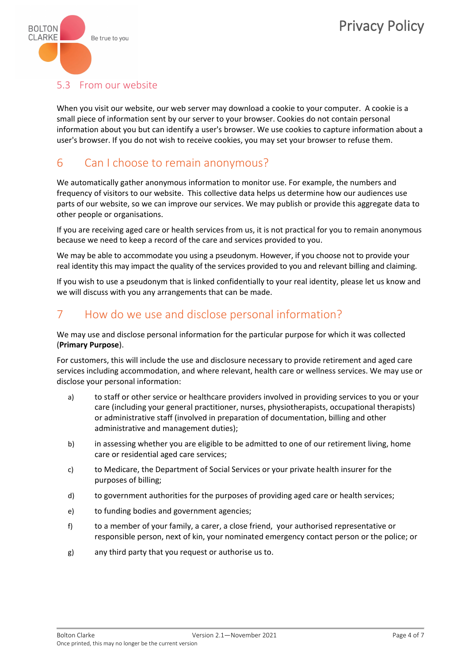

### 5.3 From our website

When you visit our website, our web server may download a cookie to your computer. A cookie is a small piece of information sent by our server to your browser. Cookies do not contain personal information about you but can identify a user's browser. We use cookies to capture information about a user's browser. If you do not wish to receive cookies, you may set your browser to refuse them.

### 6. Can I choose to remain anonymous?

We automatically gather anonymous information to monitor use. For example, the numbers and frequency of visitors to our website. This collective data helps us determine how our audiences use parts of our website, so we can improve our services. We may publish or provide this aggregate data to other people or organisations.

If you are receiving aged care or health services from us, it is not practical for you to remain anonymous because we need to keep a record of the care and services provided to you.

We may be able to accommodate you using a pseudonym. However, if you choose not to provide your real identity this may impact the quality of the services provided to you and relevant billing and claiming.

If you wish to use a pseudonym that is linked confidentially to your real identity, please let us know and we will discuss with you any arrangements that can be made.

### 7. How do we use and disclose personal information?

We may use and disclose personal information for the particular purpose for which it was collected (**Primary Purpose**).

For customers, this will include the use and disclosure necessary to provide retirement and aged care services including accommodation, and where relevant, health care or wellness services. We may use or disclose your personal information:

- a) to staff or other service or healthcare providers involved in providing services to you or your care (including your general practitioner, nurses, physiotherapists, occupational therapists) or administrative staff (involved in preparation of documentation, billing and other administrative and management duties);
- b) in assessing whether you are eligible to be admitted to one of our retirement living, home care or residential aged care services;
- c) to Medicare, the Department of Social Services or your private health insurer for the purposes of billing;
- d) to government authorities for the purposes of providing aged care or health services;
- e) to funding bodies and government agencies;
- f) to a member of your family, a carer, a close friend, your authorised representative or responsible person, next of kin, your nominated emergency contact person or the police; or
- g) any third party that you request or authorise us to.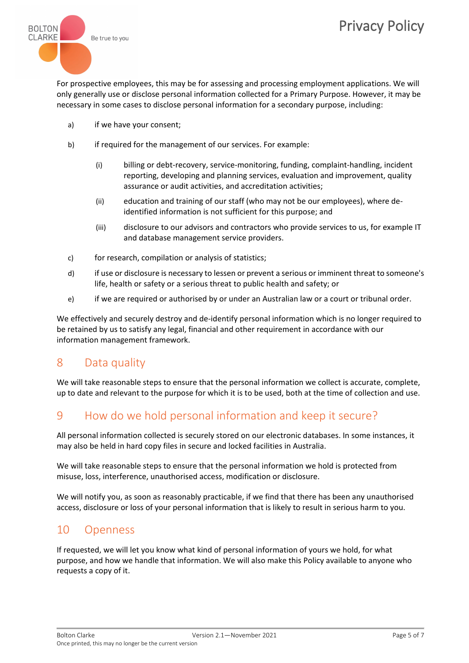

For prospective employees, this may be for assessing and processing employment applications. We will only generally use or disclose personal information collected for a Primary Purpose. However, it may be necessary in some cases to disclose personal information for a secondary purpose, including:

- a) if we have your consent;
- b) if required for the management of our services. For example:
	- (i) billing or debt-recovery, service-monitoring, funding, complaint-handling, incident reporting, developing and planning services, evaluation and improvement, quality assurance or audit activities, and accreditation activities;
	- (ii) education and training of our staff (who may not be our employees), where deidentified information is not sufficient for this purpose; and
	- (iii) disclosure to our advisors and contractors who provide services to us, for example IT and database management service providers.
- c) for research, compilation or analysis of statistics;
- d) if use or disclosure is necessary to lessen or prevent a serious or imminent threat to someone's life, health or safety or a serious threat to public health and safety; or
- e) if we are required or authorised by or under an Australian law or a court or tribunal order.

We effectively and securely destroy and de-identify personal information which is no longer required to be retained by us to satisfy any legal, financial and other requirement in accordance with our information management framework.

## 8 Data quality

We will take reasonable steps to ensure that the personal information we collect is accurate, complete, up to date and relevant to the purpose for which it is to be used, both at the time of collection and use.

## 9 How do we hold personal information and keep it secure?

All personal information collected is securely stored on our electronic databases. In some instances, it may also be held in hard copy files in secure and locked facilities in Australia.

We will take reasonable steps to ensure that the personal information we hold is protected from misuse, loss, interference, unauthorised access, modification or disclosure.

We will notify you, as soon as reasonably practicable, if we find that there has been any unauthorised access, disclosure or loss of your personal information that is likely to result in serious harm to you.

### 10 Openness

If requested, we will let you know what kind of personal information of yours we hold, for what purpose, and how we handle that information. We will also make this Policy available to anyone who requests a copy of it.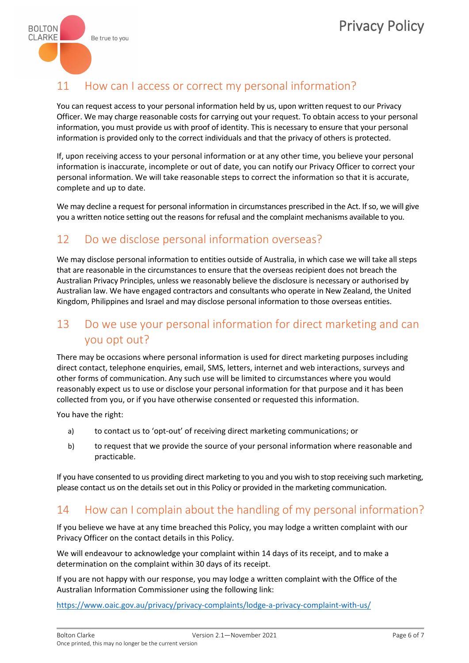

### 11 How can I access or correct my personal information?

You can request access to your personal information held by us, upon written request to our Privacy Officer. We may charge reasonable costs for carrying out your request. To obtain access to your personal information, you must provide us with proof of identity. This is necessary to ensure that your personal information is provided only to the correct individuals and that the privacy of others is protected.

If, upon receiving access to your personal information or at any other time, you believe your personal information is inaccurate, incomplete or out of date, you can notify our Privacy Officer to correct your personal information. We will take reasonable steps to correct the information so that it is accurate, complete and up to date.

We may decline a request for personal information in circumstances prescribed in the Act. If so, we will give you a written notice setting out the reasons for refusal and the complaint mechanisms available to you.

### 12 Do we disclose personal information overseas?

We may disclose personal information to entities outside of Australia, in which case we will take all steps that are reasonable in the circumstances to ensure that the overseas recipient does not breach the Australian Privacy Principles, unless we reasonably believe the disclosure is necessary or authorised by Australian law. We have engaged contractors and consultants who operate in New Zealand, the United Kingdom, Philippines and Israel and may disclose personal information to those overseas entities.

## 13 Do we use your personal information for direct marketing and can

### you opt out?

There may be occasions where personal information is used for direct marketing purposes including direct contact, telephone enquiries, email, SMS, letters, internet and web interactions, surveys and other forms of communication. Any such use will be limited to circumstances where you would reasonably expect us to use or disclose your personal information for that purpose and it has been collected from you, or if you have otherwise consented or requested this information.

You have the right:

- a) to contact us to 'opt-out' of receiving direct marketing communications; or
- b) to request that we provide the source of your personal information where reasonable and practicable.

If you have consented to us providing direct marketing to you and you wish to stop receiving such marketing, please contact us on the details set out in this Policy or provided in the marketing communication.

### 14 How can I complain about the handling of my personal information?

If you believe we have at any time breached this Policy, you may lodge a written complaint with our Privacy Officer on the contact details in this Policy.

We will endeavour to acknowledge your complaint within 14 days of its receipt, and to make a determination on the complaint within 30 days of its receipt.

If you are not happy with our response, you may lodge a written complaint with the Office of the Australian Information Commissioner using the following link:

<https://www.oaic.gov.au/privacy/privacy-complaints/lodge-a-privacy-complaint-with-us/>